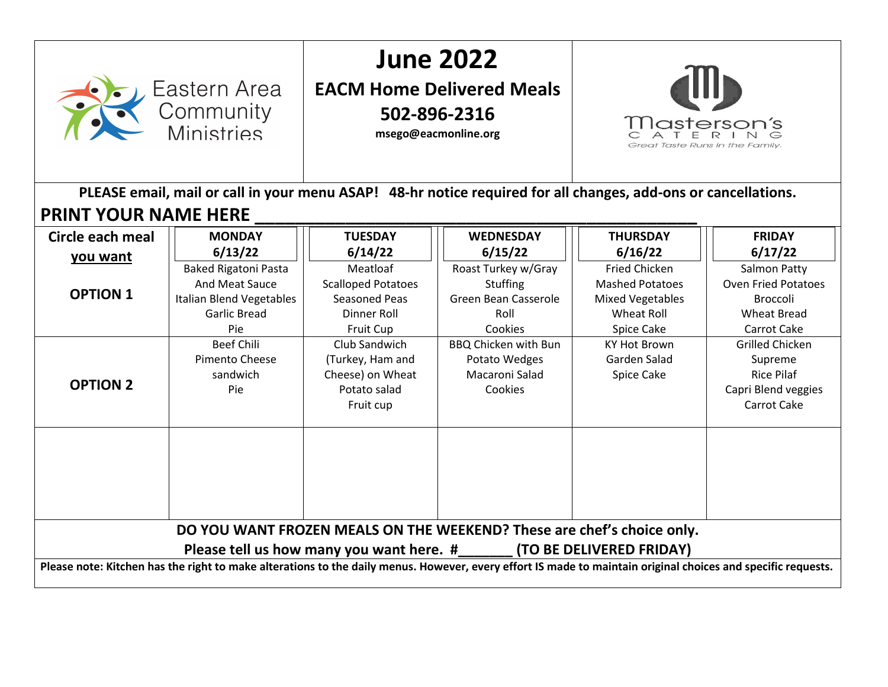## **June 2022 EACM Home Delivered Meals 502-896-2316** *<u>Masterson's</u>* **msego@eacmonline.org** Great Taste Runs in the Family. **PLEASE email, mail or call in your menu ASAP! 48-hr notice required for all changes, add-ons or cancellations. PRINT YOUR NAME HERE MONDAY TUESDAY WEDNESDAY THURSDAY FRIDAY Circle each meal 6/15/22 6/13/22 6/14/22 6/16/22 6/17/22 you want** Baked Rigatoni Pasta Meatloaf Roast Turkey w/Gray Fried Chicken Salmon Patty And Meat Sauce Scalloped Potatoes **Stuffing** Mashed Potatoes Oven Fried Potatoes **OPTION 1** Green Bean Casserole Italian Blend Vegetables Seasoned Peas Mixed Vegetables Broccoli Garlic Bread Dinner Roll Roll Wheat Roll Wheat Bread Pie Cookies Carrot Cake Fruit Cup Spice Cake Beef Chili Club Sandwich BBQ Chicken with Bun KY Hot Brown Grilled Chicken Pimento Cheese Garden Salad (Turkey, Ham and Potato Wedges Supreme sandwich Cheese) on Wheat Macaroni Salad Spice Cake Rice Pilaf **OPTION 2** Potato salad Cookies Capri Blend veggies Pie Carrot Cake Fruit cup **DO YOU WANT FROZEN MEALS ON THE WEEKEND? These are chef's choice only. Please tell us how many you want here. #\_\_\_\_\_\_\_ (TO BE DELIVERED FRIDAY) Please note: Kitchen has the right to make alterations to the daily menus. However, every effort IS made to maintain original choices and specific requests.**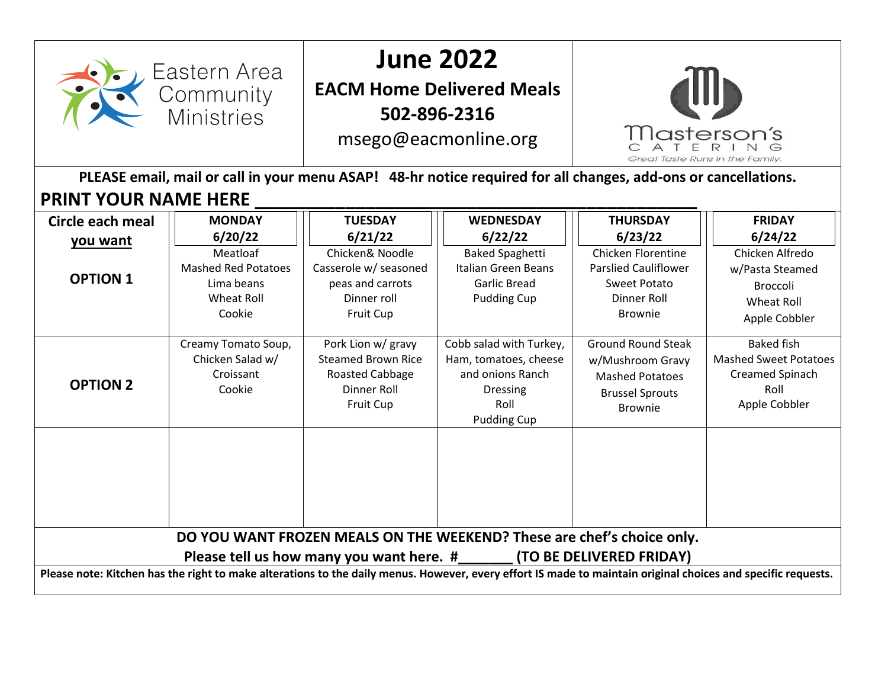

## **June 2022**

**EACM Home Delivered Meals 502-896-2316**

msego@eacmonline.org



**PLEASE email, mail or call in your menu ASAP! 48-hr notice required for all changes, add-ons or cancellations. PRINT YOUR NAME HERE \_\_\_\_\_\_\_\_\_\_\_\_\_\_\_\_\_\_\_\_\_\_\_\_\_\_\_\_\_\_\_\_\_\_\_\_\_\_\_\_\_\_\_\_** 

| Circle each meal<br>you want<br><b>OPTION 1</b>                                                                                                                                                                                                                                                             | <b>MONDAY</b><br>6/20/22<br>Meatloaf<br><b>Mashed Red Potatoes</b><br>Lima beans<br>Wheat Roll<br>Cookie | <b>TUESDAY</b><br>6/21/22<br>Chicken& Noodle<br>Casserole w/ seasoned<br>peas and carrots<br>Dinner roll<br><b>Fruit Cup</b> | <b>WEDNESDAY</b><br>6/22/22<br><b>Baked Spaghetti</b><br>Italian Green Beans<br><b>Garlic Bread</b><br><b>Pudding Cup</b> | <b>THURSDAY</b><br>6/23/22<br>Chicken Florentine<br><b>Parslied Cauliflower</b><br>Sweet Potato<br>Dinner Roll<br><b>Brownie</b> | <b>FRIDAY</b><br>6/24/22<br>Chicken Alfredo<br>w/Pasta Steamed<br><b>Broccoli</b><br><b>Wheat Roll</b><br>Apple Cobbler |
|-------------------------------------------------------------------------------------------------------------------------------------------------------------------------------------------------------------------------------------------------------------------------------------------------------------|----------------------------------------------------------------------------------------------------------|------------------------------------------------------------------------------------------------------------------------------|---------------------------------------------------------------------------------------------------------------------------|----------------------------------------------------------------------------------------------------------------------------------|-------------------------------------------------------------------------------------------------------------------------|
| <b>OPTION 2</b>                                                                                                                                                                                                                                                                                             | Creamy Tomato Soup,<br>Chicken Salad w/<br>Croissant<br>Cookie                                           | Pork Lion w/ gravy<br><b>Steamed Brown Rice</b><br>Roasted Cabbage<br>Dinner Roll<br><b>Fruit Cup</b>                        | Cobb salad with Turkey,<br>Ham, tomatoes, cheese<br>and onions Ranch<br><b>Dressing</b><br>Roll<br><b>Pudding Cup</b>     | <b>Ground Round Steak</b><br>w/Mushroom Gravy<br><b>Mashed Potatoes</b><br><b>Brussel Sprouts</b><br><b>Brownie</b>              | <b>Baked fish</b><br><b>Mashed Sweet Potatoes</b><br>Creamed Spinach<br>Roll<br>Apple Cobbler                           |
| DO YOU WANT FROZEN MEALS ON THE WEEKEND? These are chef's choice only.<br>Please tell us how many you want here. # (TO BE DELIVERED FRIDAY)<br>Please note: Kitchen has the right to make alterations to the daily menus. However, every effort IS made to maintain original choices and specific requests. |                                                                                                          |                                                                                                                              |                                                                                                                           |                                                                                                                                  |                                                                                                                         |